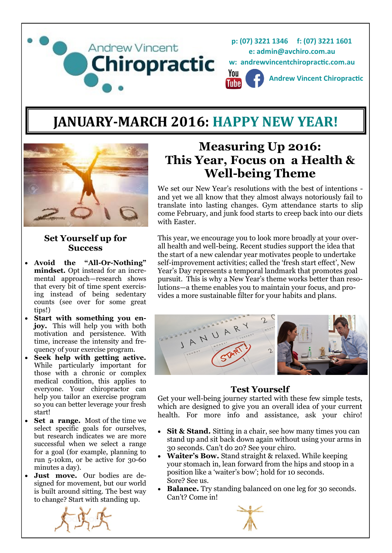

# **JANUARY-MARCH 2016: HAPPY NEW YEAR!**



#### **Set Yourself up for Success**

- **Avoid the "All-Or-Nothing" mindset.** Opt instead for an incremental approach—research shows that every bit of time spent exercising instead of being sedentary counts (see over for some great tips!)
- **Start with something you enjoy.** This will help you with both motivation and persistence. With time, increase the intensity and frequency of your exercise program.
- **Seek help with getting active.**  While particularly important for those with a chronic or complex medical condition, this applies to everyone. Your chiropractor can help you tailor an exercise program so you can better leverage your fresh start!
- **Set a range.** Most of the time we select specific goals for ourselves, but research indicates we are more successful when we select a range for a goal (for example, planning to run 5-10km, or be active for 30-60 minutes a day).
- **Just move.** Our bodies are designed for movement, but our world is built around sitting. The best way to change? Start with standing up.



# **Measuring Up 2016: This Year, Focus on a Health & Well-being Theme**

We set our New Year's resolutions with the best of intentions and yet we all know that they almost always notoriously fail to translate into lasting changes. Gym attendance starts to slip come February, and junk food starts to creep back into our diets with Easter

This year, we encourage you to look more broadly at your overall health and well-being. Recent studies support the idea that the start of a new calendar year motivates people to undertake self-improvement activities; called the 'fresh start effect', New Year's Day represents a temporal landmark that promotes goal pursuit. This is why a New Year's theme works better than resolutions—a theme enables you to maintain your focus, and provides a more sustainable filter for your habits and plans.



#### **Test Yourself**

Get your well-being journey started with these few simple tests, which are designed to give you an overall idea of your current health. For more info and assistance, ask your chiro!

- Sit & Stand. Sitting in a chair, see how many times you can stand up and sit back down again without using your arms in 30 seconds. Can't do 20? See your chiro.
- **Waiter's Bow.** Stand straight & relaxed. While keeping your stomach in, lean forward from the hips and stoop in a position like a 'waiter's bow'; hold for 10 seconds. Sore? See us.
- **Balance.** Try standing balanced on one leg for 30 seconds. Can't? Come in!